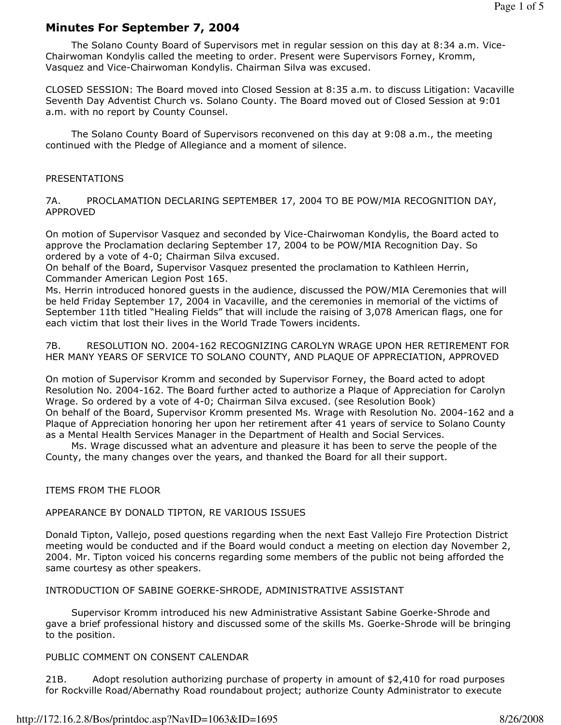# Minutes For September 7, 2004

 The Solano County Board of Supervisors met in regular session on this day at 8:34 a.m. Vice-Chairwoman Kondylis called the meeting to order. Present were Supervisors Forney, Kromm, Vasquez and Vice-Chairwoman Kondylis. Chairman Silva was excused.

CLOSED SESSION: The Board moved into Closed Session at 8:35 a.m. to discuss Litigation: Vacaville Seventh Day Adventist Church vs. Solano County. The Board moved out of Closed Session at 9:01 a.m. with no report by County Counsel.

 The Solano County Board of Supervisors reconvened on this day at 9:08 a.m., the meeting continued with the Pledge of Allegiance and a moment of silence.

### PRESENTATIONS

7A. PROCLAMATION DECLARING SEPTEMBER 17, 2004 TO BE POW/MIA RECOGNITION DAY, APPROVED

On motion of Supervisor Vasquez and seconded by Vice-Chairwoman Kondylis, the Board acted to approve the Proclamation declaring September 17, 2004 to be POW/MIA Recognition Day. So ordered by a vote of 4-0; Chairman Silva excused.

On behalf of the Board, Supervisor Vasquez presented the proclamation to Kathleen Herrin, Commander American Legion Post 165.

Ms. Herrin introduced honored guests in the audience, discussed the POW/MIA Ceremonies that will be held Friday September 17, 2004 in Vacaville, and the ceremonies in memorial of the victims of September 11th titled "Healing Fields" that will include the raising of 3,078 American flags, one for each victim that lost their lives in the World Trade Towers incidents.

7B. RESOLUTION NO. 2004-162 RECOGNIZING CAROLYN WRAGE UPON HER RETIREMENT FOR HER MANY YEARS OF SERVICE TO SOLANO COUNTY, AND PLAQUE OF APPRECIATION, APPROVED

On motion of Supervisor Kromm and seconded by Supervisor Forney, the Board acted to adopt Resolution No. 2004-162. The Board further acted to authorize a Plaque of Appreciation for Carolyn Wrage. So ordered by a vote of 4-0; Chairman Silva excused. (see Resolution Book) On behalf of the Board, Supervisor Kromm presented Ms. Wrage with Resolution No. 2004-162 and a Plaque of Appreciation honoring her upon her retirement after 41 years of service to Solano County as a Mental Health Services Manager in the Department of Health and Social Services.

 Ms. Wrage discussed what an adventure and pleasure it has been to serve the people of the County, the many changes over the years, and thanked the Board for all their support.

### ITEMS FROM THE FLOOR

### APPEARANCE BY DONALD TIPTON, RE VARIOUS ISSUES

Donald Tipton, Vallejo, posed questions regarding when the next East Vallejo Fire Protection District meeting would be conducted and if the Board would conduct a meeting on election day November 2, 2004. Mr. Tipton voiced his concerns regarding some members of the public not being afforded the same courtesy as other speakers.

### INTRODUCTION OF SABINE GOERKE-SHRODE, ADMINISTRATIVE ASSISTANT

 Supervisor Kromm introduced his new Administrative Assistant Sabine Goerke-Shrode and gave a brief professional history and discussed some of the skills Ms. Goerke-Shrode will be bringing to the position.

### PUBLIC COMMENT ON CONSENT CALENDAR

21B. Adopt resolution authorizing purchase of property in amount of \$2,410 for road purposes for Rockville Road/Abernathy Road roundabout project; authorize County Administrator to execute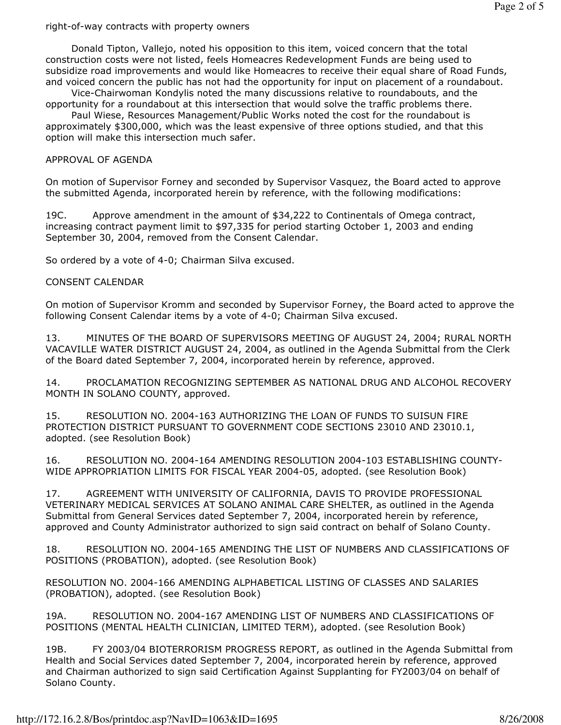#### right-of-way contracts with property owners

 Donald Tipton, Vallejo, noted his opposition to this item, voiced concern that the total construction costs were not listed, feels Homeacres Redevelopment Funds are being used to subsidize road improvements and would like Homeacres to receive their equal share of Road Funds, and voiced concern the public has not had the opportunity for input on placement of a roundabout.

 Vice-Chairwoman Kondylis noted the many discussions relative to roundabouts, and the opportunity for a roundabout at this intersection that would solve the traffic problems there.

 Paul Wiese, Resources Management/Public Works noted the cost for the roundabout is approximately \$300,000, which was the least expensive of three options studied, and that this option will make this intersection much safer.

#### APPROVAL OF AGENDA

On motion of Supervisor Forney and seconded by Supervisor Vasquez, the Board acted to approve the submitted Agenda, incorporated herein by reference, with the following modifications:

19C. Approve amendment in the amount of \$34,222 to Continentals of Omega contract, increasing contract payment limit to \$97,335 for period starting October 1, 2003 and ending September 30, 2004, removed from the Consent Calendar.

So ordered by a vote of 4-0; Chairman Silva excused.

#### CONSENT CALENDAR

On motion of Supervisor Kromm and seconded by Supervisor Forney, the Board acted to approve the following Consent Calendar items by a vote of 4-0; Chairman Silva excused.

13. MINUTES OF THE BOARD OF SUPERVISORS MEETING OF AUGUST 24, 2004; RURAL NORTH VACAVILLE WATER DISTRICT AUGUST 24, 2004, as outlined in the Agenda Submittal from the Clerk of the Board dated September 7, 2004, incorporated herein by reference, approved.

14. PROCLAMATION RECOGNIZING SEPTEMBER AS NATIONAL DRUG AND ALCOHOL RECOVERY MONTH IN SOLANO COUNTY, approved.

15. RESOLUTION NO. 2004-163 AUTHORIZING THE LOAN OF FUNDS TO SUISUN FIRE PROTECTION DISTRICT PURSUANT TO GOVERNMENT CODE SECTIONS 23010 AND 23010.1, adopted. (see Resolution Book)

16. RESOLUTION NO. 2004-164 AMENDING RESOLUTION 2004-103 ESTABLISHING COUNTY-WIDE APPROPRIATION LIMITS FOR FISCAL YEAR 2004-05, adopted. (see Resolution Book)

17. AGREEMENT WITH UNIVERSITY OF CALIFORNIA, DAVIS TO PROVIDE PROFESSIONAL VETERINARY MEDICAL SERVICES AT SOLANO ANIMAL CARE SHELTER, as outlined in the Agenda Submittal from General Services dated September 7, 2004, incorporated herein by reference, approved and County Administrator authorized to sign said contract on behalf of Solano County.

18. RESOLUTION NO. 2004-165 AMENDING THE LIST OF NUMBERS AND CLASSIFICATIONS OF POSITIONS (PROBATION), adopted. (see Resolution Book)

RESOLUTION NO. 2004-166 AMENDING ALPHABETICAL LISTING OF CLASSES AND SALARIES (PROBATION), adopted. (see Resolution Book)

19A. RESOLUTION NO. 2004-167 AMENDING LIST OF NUMBERS AND CLASSIFICATIONS OF POSITIONS (MENTAL HEALTH CLINICIAN, LIMITED TERM), adopted. (see Resolution Book)

19B. FY 2003/04 BIOTERRORISM PROGRESS REPORT, as outlined in the Agenda Submittal from Health and Social Services dated September 7, 2004, incorporated herein by reference, approved and Chairman authorized to sign said Certification Against Supplanting for FY2003/04 on behalf of Solano County.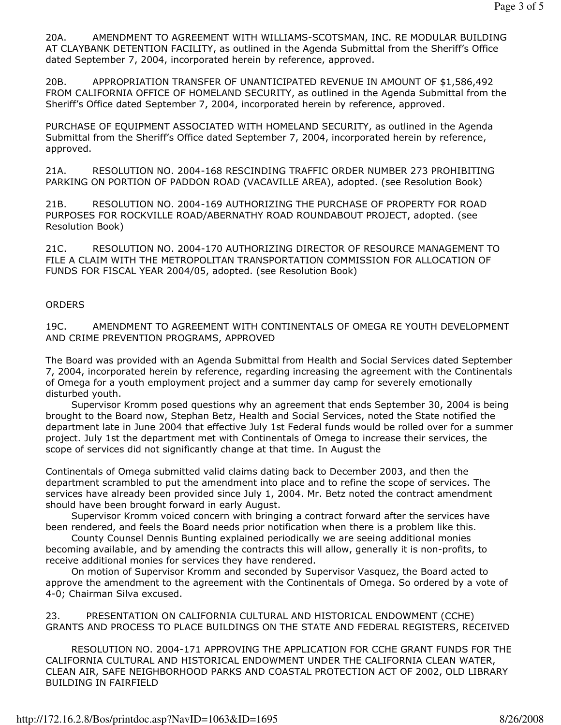20A. AMENDMENT TO AGREEMENT WITH WILLIAMS-SCOTSMAN, INC. RE MODULAR BUILDING AT CLAYBANK DETENTION FACILITY, as outlined in the Agenda Submittal from the Sheriff's Office dated September 7, 2004, incorporated herein by reference, approved.

20B. APPROPRIATION TRANSFER OF UNANTICIPATED REVENUE IN AMOUNT OF \$1,586,492 FROM CALIFORNIA OFFICE OF HOMELAND SECURITY, as outlined in the Agenda Submittal from the Sheriff's Office dated September 7, 2004, incorporated herein by reference, approved.

PURCHASE OF EQUIPMENT ASSOCIATED WITH HOMELAND SECURITY, as outlined in the Agenda Submittal from the Sheriff's Office dated September 7, 2004, incorporated herein by reference, approved.

21A. RESOLUTION NO. 2004-168 RESCINDING TRAFFIC ORDER NUMBER 273 PROHIBITING PARKING ON PORTION OF PADDON ROAD (VACAVILLE AREA), adopted. (see Resolution Book)

21B. RESOLUTION NO. 2004-169 AUTHORIZING THE PURCHASE OF PROPERTY FOR ROAD PURPOSES FOR ROCKVILLE ROAD/ABERNATHY ROAD ROUNDABOUT PROJECT, adopted. (see Resolution Book)

21C. RESOLUTION NO. 2004-170 AUTHORIZING DIRECTOR OF RESOURCE MANAGEMENT TO FILE A CLAIM WITH THE METROPOLITAN TRANSPORTATION COMMISSION FOR ALLOCATION OF FUNDS FOR FISCAL YEAR 2004/05, adopted. (see Resolution Book)

## **ORDERS**

19C. AMENDMENT TO AGREEMENT WITH CONTINENTALS OF OMEGA RE YOUTH DEVELOPMENT AND CRIME PREVENTION PROGRAMS, APPROVED

The Board was provided with an Agenda Submittal from Health and Social Services dated September 7, 2004, incorporated herein by reference, regarding increasing the agreement with the Continentals of Omega for a youth employment project and a summer day camp for severely emotionally disturbed youth.

 Supervisor Kromm posed questions why an agreement that ends September 30, 2004 is being brought to the Board now, Stephan Betz, Health and Social Services, noted the State notified the department late in June 2004 that effective July 1st Federal funds would be rolled over for a summer project. July 1st the department met with Continentals of Omega to increase their services, the scope of services did not significantly change at that time. In August the

Continentals of Omega submitted valid claims dating back to December 2003, and then the department scrambled to put the amendment into place and to refine the scope of services. The services have already been provided since July 1, 2004. Mr. Betz noted the contract amendment should have been brought forward in early August.

 Supervisor Kromm voiced concern with bringing a contract forward after the services have been rendered, and feels the Board needs prior notification when there is a problem like this.

 County Counsel Dennis Bunting explained periodically we are seeing additional monies becoming available, and by amending the contracts this will allow, generally it is non-profits, to receive additional monies for services they have rendered.

 On motion of Supervisor Kromm and seconded by Supervisor Vasquez, the Board acted to approve the amendment to the agreement with the Continentals of Omega. So ordered by a vote of 4-0; Chairman Silva excused.

23. PRESENTATION ON CALIFORNIA CULTURAL AND HISTORICAL ENDOWMENT (CCHE) GRANTS AND PROCESS TO PLACE BUILDINGS ON THE STATE AND FEDERAL REGISTERS, RECEIVED

 RESOLUTION NO. 2004-171 APPROVING THE APPLICATION FOR CCHE GRANT FUNDS FOR THE CALIFORNIA CULTURAL AND HISTORICAL ENDOWMENT UNDER THE CALIFORNIA CLEAN WATER, CLEAN AIR, SAFE NEIGHBORHOOD PARKS AND COASTAL PROTECTION ACT OF 2002, OLD LIBRARY BUILDING IN FAIRFIELD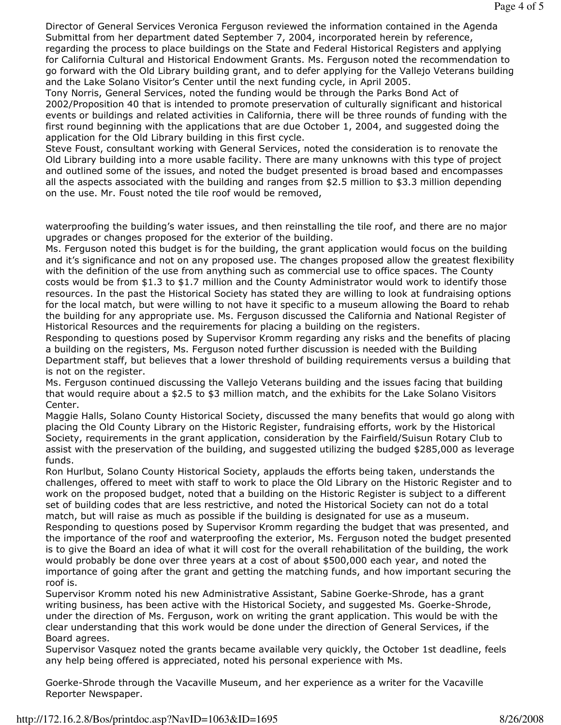Director of General Services Veronica Ferguson reviewed the information contained in the Agenda Submittal from her department dated September 7, 2004, incorporated herein by reference, regarding the process to place buildings on the State and Federal Historical Registers and applying for California Cultural and Historical Endowment Grants. Ms. Ferguson noted the recommendation to go forward with the Old Library building grant, and to defer applying for the Vallejo Veterans building and the Lake Solano Visitor's Center until the next funding cycle, in April 2005.

Tony Norris, General Services, noted the funding would be through the Parks Bond Act of 2002/Proposition 40 that is intended to promote preservation of culturally significant and historical events or buildings and related activities in California, there will be three rounds of funding with the first round beginning with the applications that are due October 1, 2004, and suggested doing the application for the Old Library building in this first cycle.

Steve Foust, consultant working with General Services, noted the consideration is to renovate the Old Library building into a more usable facility. There are many unknowns with this type of project and outlined some of the issues, and noted the budget presented is broad based and encompasses all the aspects associated with the building and ranges from \$2.5 million to \$3.3 million depending on the use. Mr. Foust noted the tile roof would be removed,

waterproofing the building's water issues, and then reinstalling the tile roof, and there are no major upgrades or changes proposed for the exterior of the building.

Ms. Ferguson noted this budget is for the building, the grant application would focus on the building and it's significance and not on any proposed use. The changes proposed allow the greatest flexibility with the definition of the use from anything such as commercial use to office spaces. The County costs would be from \$1.3 to \$1.7 million and the County Administrator would work to identify those resources. In the past the Historical Society has stated they are willing to look at fundraising options for the local match, but were willing to not have it specific to a museum allowing the Board to rehab the building for any appropriate use. Ms. Ferguson discussed the California and National Register of Historical Resources and the requirements for placing a building on the registers.

Responding to questions posed by Supervisor Kromm regarding any risks and the benefits of placing a building on the registers, Ms. Ferguson noted further discussion is needed with the Building Department staff, but believes that a lower threshold of building requirements versus a building that is not on the register.

Ms. Ferguson continued discussing the Vallejo Veterans building and the issues facing that building that would require about a \$2.5 to \$3 million match, and the exhibits for the Lake Solano Visitors Center.

Maggie Halls, Solano County Historical Society, discussed the many benefits that would go along with placing the Old County Library on the Historic Register, fundraising efforts, work by the Historical Society, requirements in the grant application, consideration by the Fairfield/Suisun Rotary Club to assist with the preservation of the building, and suggested utilizing the budged \$285,000 as leverage funds.

Ron Hurlbut, Solano County Historical Society, applauds the efforts being taken, understands the challenges, offered to meet with staff to work to place the Old Library on the Historic Register and to work on the proposed budget, noted that a building on the Historic Register is subject to a different set of building codes that are less restrictive, and noted the Historical Society can not do a total match, but will raise as much as possible if the building is designated for use as a museum. Responding to questions posed by Supervisor Kromm regarding the budget that was presented, and the importance of the roof and waterproofing the exterior, Ms. Ferguson noted the budget presented is to give the Board an idea of what it will cost for the overall rehabilitation of the building, the work would probably be done over three years at a cost of about \$500,000 each year, and noted the importance of going after the grant and getting the matching funds, and how important securing the roof is.

Supervisor Kromm noted his new Administrative Assistant, Sabine Goerke-Shrode, has a grant writing business, has been active with the Historical Society, and suggested Ms. Goerke-Shrode, under the direction of Ms. Ferguson, work on writing the grant application. This would be with the clear understanding that this work would be done under the direction of General Services, if the Board agrees.

Supervisor Vasquez noted the grants became available very quickly, the October 1st deadline, feels any help being offered is appreciated, noted his personal experience with Ms.

Goerke-Shrode through the Vacaville Museum, and her experience as a writer for the Vacaville Reporter Newspaper.